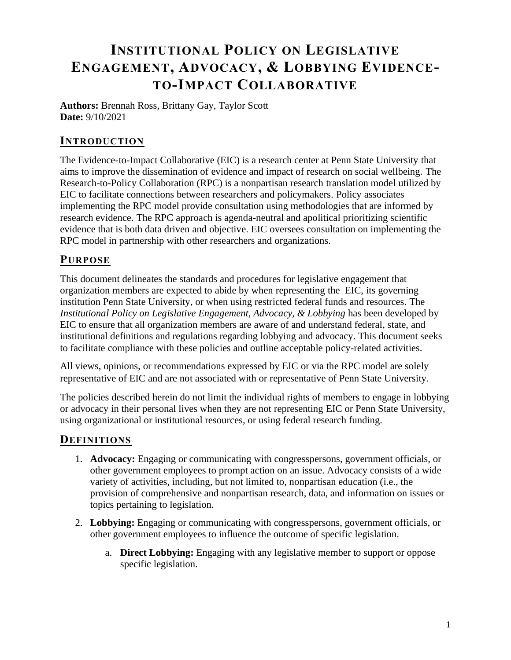# **INSTITUTIONAL POLICY ON LEGISLATIVE ENGAGEMENT, ADVOCACY, & LOBBYING EVIDENCE-TO-IMPACT COLLABORATIVE**

**Authors:** Brennah Ross, Brittany Gay, Taylor Scott **Date:** 9/10/2021

### **INTRODUCTION**

The Evidence-to-Impact Collaborative (EIC) is a research center at Penn State University that aims to improve the dissemination of evidence and impact of research on social wellbeing. The Research-to-Policy Collaboration (RPC) is a nonpartisan research translation model utilized by EIC to facilitate connections between researchers and policymakers. Policy associates implementing the RPC model provide consultation using methodologies that are informed by research evidence. The RPC approach is agenda-neutral and apolitical prioritizing scientific evidence that is both data driven and objective. EIC oversees consultation on implementing the RPC model in partnership with other researchers and organizations.

#### **PURPOSE**

This document delineates the standards and procedures for legislative engagement that organization members are expected to abide by when representing the EIC, its governing institution Penn State University, or when using restricted federal funds and resources. The *Institutional Policy on Legislative Engagement, Advocacy, & Lobbying* has been developed by EIC to ensure that all organization members are aware of and understand federal, state, and institutional definitions and regulations regarding lobbying and advocacy. This document seeks to facilitate compliance with these policies and outline acceptable policy-related activities.

All views, opinions, or recommendations expressed by EIC or via the RPC model are solely representative of EIC and are not associated with or representative of Penn State University.

The policies described herein do not limit the individual rights of members to engage in lobbying or advocacy in their personal lives when they are not representing EIC or Penn State University, using organizational or institutional resources, or using federal research funding.

#### **DEFINITIONS**

- 1. **Advocacy:** Engaging or communicating with congresspersons, government officials, or other government employees to prompt action on an issue. Advocacy consists of a wide variety of activities, including, but not limited to, nonpartisan education (i.e., the provision of comprehensive and nonpartisan research, data, and information on issues or topics pertaining to legislation.
- 2. **Lobbying:** Engaging or communicating with congresspersons, government officials, or other government employees to influence the outcome of specific legislation.
	- a. **Direct Lobbying:** Engaging with any legislative member to support or oppose specific legislation.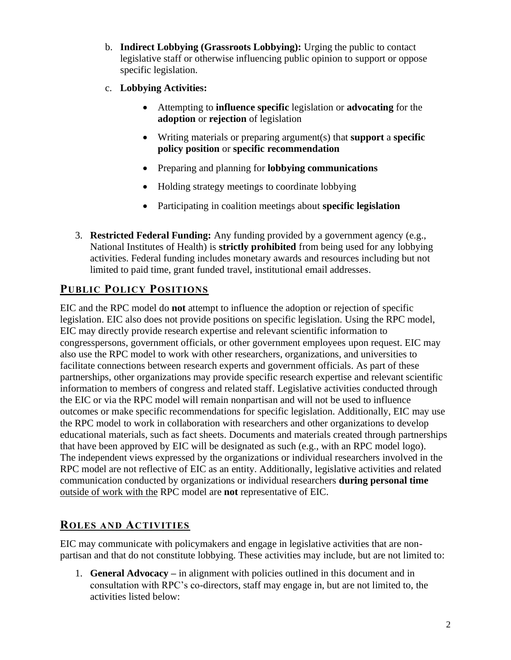- b. **Indirect Lobbying (Grassroots Lobbying):** Urging the public to contact legislative staff or otherwise influencing public opinion to support or oppose specific legislation.
- c. **Lobbying Activities:**
	- Attempting to **influence specific** legislation or **advocating** for the **adoption** or **rejection** of legislation
	- Writing materials or preparing argument(s) that **support** a **specific policy position** or **specific recommendation**
	- Preparing and planning for **lobbying communications**
	- Holding strategy meetings to coordinate lobbying
	- Participating in coalition meetings about **specific legislation**
- 3. **Restricted Federal Funding:** Any funding provided by a government agency (e.g., National Institutes of Health) is **strictly prohibited** from being used for any lobbying activities. Federal funding includes monetary awards and resources including but not limited to paid time, grant funded travel, institutional email addresses.

## **PUBLIC POLICY POSITIONS**

EIC and the RPC model do **not** attempt to influence the adoption or rejection of specific legislation. EIC also does not provide positions on specific legislation. Using the RPC model, EIC may directly provide research expertise and relevant scientific information to congresspersons, government officials, or other government employees upon request. EIC may also use the RPC model to work with other researchers, organizations, and universities to facilitate connections between research experts and government officials. As part of these partnerships, other organizations may provide specific research expertise and relevant scientific information to members of congress and related staff. Legislative activities conducted through the EIC or via the RPC model will remain nonpartisan and will not be used to influence outcomes or make specific recommendations for specific legislation. Additionally, EIC may use the RPC model to work in collaboration with researchers and other organizations to develop educational materials, such as fact sheets. Documents and materials created through partnerships that have been approved by EIC will be designated as such (e.g., with an RPC model logo). The independent views expressed by the organizations or individual researchers involved in the RPC model are not reflective of EIC as an entity. Additionally, legislative activities and related communication conducted by organizations or individual researchers **during personal time** outside of work with the RPC model are **not** representative of EIC.

#### **ROLES AND ACTIVITIES**

EIC may communicate with policymakers and engage in legislative activities that are nonpartisan and that do not constitute lobbying. These activities may include, but are not limited to:

1. **General Advocacy –** in alignment with policies outlined in this document and in consultation with RPC's co-directors, staff may engage in, but are not limited to, the activities listed below: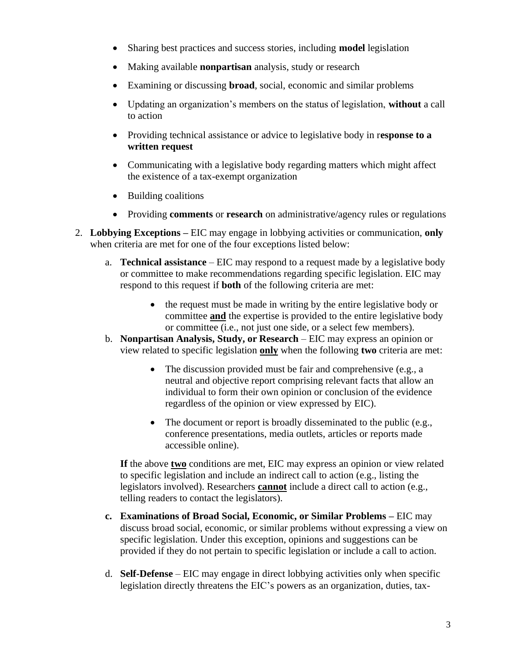- Sharing best practices and success stories, including **model** legislation
- Making available **nonpartisan** analysis, study or research
- Examining or discussing **broad**, social, economic and similar problems
- Updating an organization's members on the status of legislation, **without** a call to action
- Providing technical assistance or advice to legislative body in r**esponse to a written request**
- Communicating with a legislative body regarding matters which might affect the existence of a tax-exempt organization
- Building coalitions
- Providing **comments** or **research** on administrative/agency rules or regulations
- 2. **Lobbying Exceptions –** EIC may engage in lobbying activities or communication, **only**  when criteria are met for one of the four exceptions listed below:
	- a. **Technical assistance** EIC may respond to a request made by a legislative body or committee to make recommendations regarding specific legislation. EIC may respond to this request if **both** of the following criteria are met:
		- the request must be made in writing by the entire legislative body or committee **and** the expertise is provided to the entire legislative body or committee (i.e., not just one side, or a select few members).
	- b. **Nonpartisan Analysis, Study, or Research**  EIC may express an opinion or view related to specific legislation **only** when the following **two** criteria are met:
		- The discussion provided must be fair and comprehensive (e.g., a neutral and objective report comprising relevant facts that allow an individual to form their own opinion or conclusion of the evidence regardless of the opinion or view expressed by EIC).
		- The document or report is broadly disseminated to the public (e.g., conference presentations, media outlets, articles or reports made accessible online).

**If** the above **two** conditions are met, EIC may express an opinion or view related to specific legislation and include an indirect call to action (e.g., listing the legislators involved). Researchers **cannot** include a direct call to action (e.g., telling readers to contact the legislators).

- **c. Examinations of Broad Social, Economic, or Similar Problems –** EIC may discuss broad social, economic, or similar problems without expressing a view on specific legislation. Under this exception, opinions and suggestions can be provided if they do not pertain to specific legislation or include a call to action.
- d. **Self-Defense** EIC may engage in direct lobbying activities only when specific legislation directly threatens the EIC's powers as an organization, duties, tax-